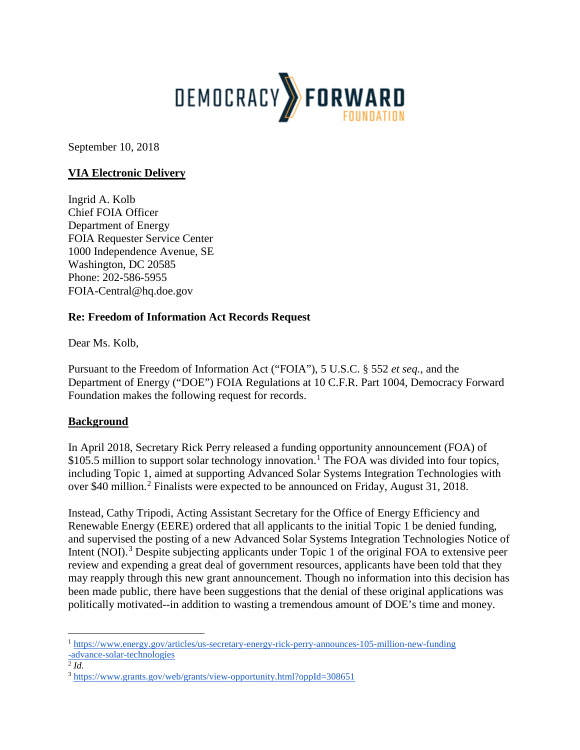

September 10, 2018

# **VIA Electronic Delivery**

Ingrid A. Kolb Chief FOIA Officer Department of Energy FOIA Requester Service Center 1000 Independence Avenue, SE Washington, DC 20585 Phone: 202-586-5955 FOIA-Central@hq.doe.gov

# **Re: Freedom of Information Act Records Request**

Dear Ms. Kolb,

Pursuant to the Freedom of Information Act ("FOIA"), 5 U.S.C. § 552 *et seq.*, and the Department of Energy ("DOE") FOIA Regulations at 10 C.F.R. Part 1004, Democracy Forward Foundation makes the following request for records.

# **Background**

In April 2018, Secretary Rick Perry released a funding opportunity announcement (FOA) of \$[1](#page-0-0)05.5 million to support solar technology innovation.<sup>1</sup> The FOA was divided into four topics, including Topic 1, aimed at supporting Advanced Solar Systems Integration Technologies with over \$40 million.[2](#page-0-1) Finalists were expected to be announced on Friday, August 31, 2018.

Instead, Cathy Tripodi, Acting Assistant Secretary for the Office of Energy Efficiency and Renewable Energy (EERE) ordered that all applicants to the initial Topic 1 be denied funding, and supervised the posting of a new Advanced Solar Systems Integration Technologies Notice of Intent (NOI).<sup>[3](#page-0-2)</sup> Despite subjecting applicants under Topic 1 of the original FOA to extensive peer review and expending a great deal of government resources, applicants have been told that they may reapply through this new grant announcement. Though no information into this decision has been made public, there have been suggestions that the denial of these original applications was politically motivated--in addition to wasting a tremendous amount of DOE's time and money.

 $\ddot{\phantom{a}}$ 

<span id="page-0-0"></span><sup>1</sup> [https://www.energy.gov/articles/us-secretary-energy-rick-perry-announces-105-million-new-funding](https://www.energy.gov/articles/us-secretary-energy-rick-perry-announces-105-million-new-funding-advance-solar-technologies) [-advance-solar-technologies](https://www.energy.gov/articles/us-secretary-energy-rick-perry-announces-105-million-new-funding-advance-solar-technologies)

<span id="page-0-1"></span> $^2$  *Id.* 

<span id="page-0-2"></span><sup>3</sup> <https://www.grants.gov/web/grants/view-opportunity.html?oppId=308651>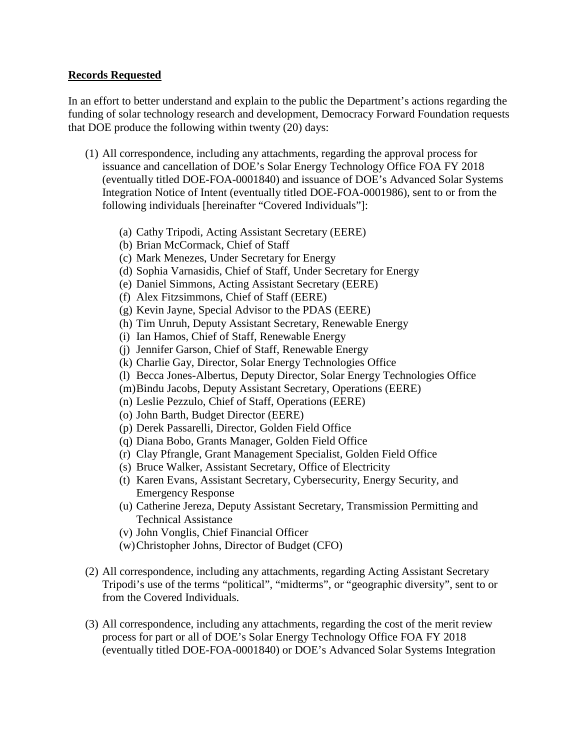### **Records Requested**

In an effort to better understand and explain to the public the Department's actions regarding the funding of solar technology research and development, Democracy Forward Foundation requests that DOE produce the following within twenty (20) days:

- (1) All correspondence, including any attachments, regarding the approval process for issuance and cancellation of DOE's Solar Energy Technology Office FOA FY 2018 (eventually titled DOE-FOA-0001840) and issuance of DOE's Advanced Solar Systems Integration Notice of Intent (eventually titled DOE-FOA-0001986), sent to or from the following individuals [hereinafter "Covered Individuals"]:
	- (a) Cathy Tripodi, Acting Assistant Secretary (EERE)
	- (b) Brian McCormack, Chief of Staff
	- (c) Mark Menezes, Under Secretary for Energy
	- (d) Sophia Varnasidis, Chief of Staff, Under Secretary for Energy
	- (e) Daniel Simmons, Acting Assistant Secretary (EERE)
	- (f) Alex Fitzsimmons, Chief of Staff (EERE)
	- (g) Kevin Jayne, Special Advisor to the PDAS (EERE)
	- (h) Tim Unruh, Deputy Assistant Secretary, Renewable Energy
	- (i) Ian Hamos, Chief of Staff, Renewable Energy
	- (j) Jennifer Garson, Chief of Staff, Renewable Energy
	- (k) Charlie Gay, Director, Solar Energy Technologies Office
	- (l) Becca Jones-Albertus, Deputy Director, Solar Energy Technologies Office
	- (m)Bindu Jacobs, Deputy Assistant Secretary, Operations (EERE)
	- (n) Leslie Pezzulo, Chief of Staff, Operations (EERE)
	- (o) John Barth, Budget Director (EERE)
	- (p) Derek Passarelli, Director, Golden Field Office
	- (q) Diana Bobo, Grants Manager, Golden Field Office
	- (r) Clay Pfrangle, Grant Management Specialist, Golden Field Office
	- (s) Bruce Walker, Assistant Secretary, Office of Electricity
	- (t) Karen Evans, Assistant Secretary, Cybersecurity, Energy Security, and Emergency Response
	- (u) Catherine Jereza, Deputy Assistant Secretary, Transmission Permitting and Technical Assistance
	- (v) John Vonglis, Chief Financial Officer
	- (w)Christopher Johns, Director of Budget (CFO)
- (2) All correspondence, including any attachments, regarding Acting Assistant Secretary Tripodi's use of the terms "political", "midterms", or "geographic diversity", sent to or from the Covered Individuals.
- (3) All correspondence, including any attachments, regarding the cost of the merit review process for part or all of DOE's Solar Energy Technology Office FOA FY 2018 (eventually titled DOE-FOA-0001840) or DOE's Advanced Solar Systems Integration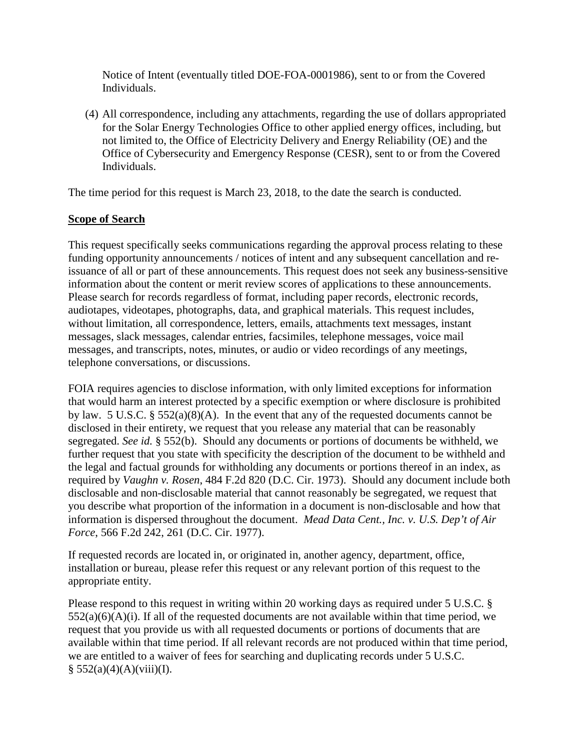Notice of Intent (eventually titled DOE-FOA-0001986), sent to or from the Covered Individuals.

(4) All correspondence, including any attachments, regarding the use of dollars appropriated for the Solar Energy Technologies Office to other applied energy offices, including, but not limited to, the Office of Electricity Delivery and Energy Reliability (OE) and the Office of Cybersecurity and Emergency Response (CESR), sent to or from the Covered Individuals.

The time period for this request is March 23, 2018, to the date the search is conducted.

# **Scope of Search**

This request specifically seeks communications regarding the approval process relating to these funding opportunity announcements / notices of intent and any subsequent cancellation and reissuance of all or part of these announcements. This request does not seek any business-sensitive information about the content or merit review scores of applications to these announcements. Please search for records regardless of format, including paper records, electronic records, audiotapes, videotapes, photographs, data, and graphical materials. This request includes, without limitation, all correspondence, letters, emails, attachments text messages, instant messages, slack messages, calendar entries, facsimiles, telephone messages, voice mail messages, and transcripts, notes, minutes, or audio or video recordings of any meetings, telephone conversations, or discussions.

FOIA requires agencies to disclose information, with only limited exceptions for information that would harm an interest protected by a specific exemption or where disclosure is prohibited by law. 5 U.S.C. § 552(a)(8)(A). In the event that any of the requested documents cannot be disclosed in their entirety, we request that you release any material that can be reasonably segregated. *See id.* § 552(b). Should any documents or portions of documents be withheld, we further request that you state with specificity the description of the document to be withheld and the legal and factual grounds for withholding any documents or portions thereof in an index, as required by *Vaughn v. Rosen*, 484 F.2d 820 (D.C. Cir. 1973). Should any document include both disclosable and non-disclosable material that cannot reasonably be segregated, we request that you describe what proportion of the information in a document is non-disclosable and how that information is dispersed throughout the document. *Mead Data Cent., Inc. v. U.S. Dep't of Air Force*, 566 F.2d 242, 261 (D.C. Cir. 1977).

If requested records are located in, or originated in, another agency, department, office, installation or bureau, please refer this request or any relevant portion of this request to the appropriate entity.

Please respond to this request in writing within 20 working days as required under 5 U.S.C. §  $552(a)(6)(A)(i)$ . If all of the requested documents are not available within that time period, we request that you provide us with all requested documents or portions of documents that are available within that time period. If all relevant records are not produced within that time period, we are entitled to a waiver of fees for searching and duplicating records under 5 U.S.C.  $§ 552(a)(4)(A)(viii)(I).$